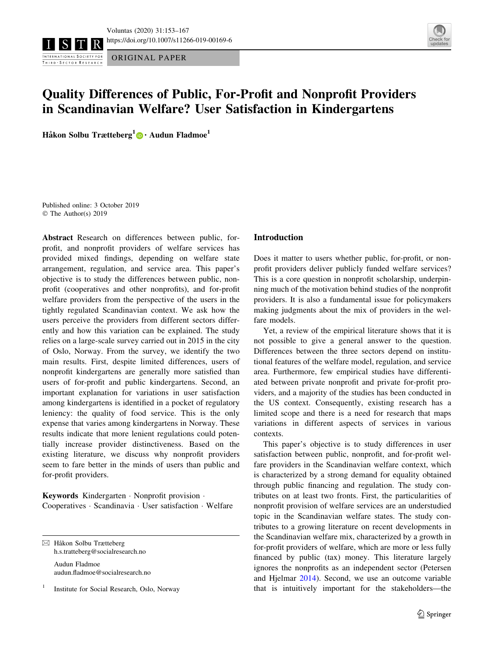ORIGINAL PAPER INTERNATIONAL SOCIETY FOR THIRD - SECTOR RESEARCH



# Quality Differences of Public, For-Profit and Nonprofit Providers in Scandinavian Welfare? User Satisfaction in Kindergartens

Håkon Solbu Trætteberg<sup>1</sup> [•](http://orcid.org/0000-0002-7250-5150) Audun Fladmoe<sup>1</sup>

Published online: 3 October 2019 © The Author(s) 2019

Abstract Research on differences between public, forprofit, and nonprofit providers of welfare services has provided mixed findings, depending on welfare state arrangement, regulation, and service area. This paper's objective is to study the differences between public, nonprofit (cooperatives and other nonprofits), and for-profit welfare providers from the perspective of the users in the tightly regulated Scandinavian context. We ask how the users perceive the providers from different sectors differently and how this variation can be explained. The study relies on a large-scale survey carried out in 2015 in the city of Oslo, Norway. From the survey, we identify the two main results. First, despite limited differences, users of nonprofit kindergartens are generally more satisfied than users of for-profit and public kindergartens. Second, an important explanation for variations in user satisfaction among kindergartens is identified in a pocket of regulatory leniency: the quality of food service. This is the only expense that varies among kindergartens in Norway. These results indicate that more lenient regulations could potentially increase provider distinctiveness. Based on the existing literature, we discuss why nonprofit providers seem to fare better in the minds of users than public and for-profit providers.

Keywords Kindergarten - Nonprofit provision - Cooperatives - Scandinavia - User satisfaction - Welfare

 $\boxtimes$  Håkon Solbu Trætteberg h.s.tratteberg@socialresearch.no Audun Fladmoe audun.fladmoe@socialresearch.no

<sup>1</sup> Institute for Social Research, Oslo, Norway

#### Introduction

Does it matter to users whether public, for-profit, or nonprofit providers deliver publicly funded welfare services? This is a core question in nonprofit scholarship, underpinning much of the motivation behind studies of the nonprofit providers. It is also a fundamental issue for policymakers making judgments about the mix of providers in the welfare models.

Yet, a review of the empirical literature shows that it is not possible to give a general answer to the question. Differences between the three sectors depend on institutional features of the welfare model, regulation, and service area. Furthermore, few empirical studies have differentiated between private nonprofit and private for-profit providers, and a majority of the studies has been conducted in the US context. Consequently, existing research has a limited scope and there is a need for research that maps variations in different aspects of services in various contexts.

This paper's objective is to study differences in user satisfaction between public, nonprofit, and for-profit welfare providers in the Scandinavian welfare context, which is characterized by a strong demand for equality obtained through public financing and regulation. The study contributes on at least two fronts. First, the particularities of nonprofit provision of welfare services are an understudied topic in the Scandinavian welfare states. The study contributes to a growing literature on recent developments in the Scandinavian welfare mix, characterized by a growth in for-profit providers of welfare, which are more or less fully financed by public (tax) money. This literature largely ignores the nonprofits as an independent sector (Petersen and Hjelmar [2014](#page-13-0)). Second, we use an outcome variable that is intuitively important for the stakeholders—the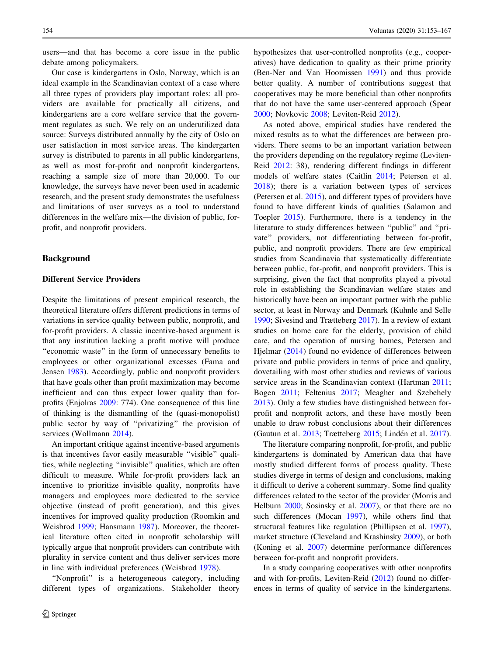users—and that has become a core issue in the public debate among policymakers.

Our case is kindergartens in Oslo, Norway, which is an ideal example in the Scandinavian context of a case where all three types of providers play important roles: all providers are available for practically all citizens, and kindergartens are a core welfare service that the government regulates as such. We rely on an underutilized data source: Surveys distributed annually by the city of Oslo on user satisfaction in most service areas. The kindergarten survey is distributed to parents in all public kindergartens, as well as most for-profit and nonprofit kindergartens, reaching a sample size of more than 20,000. To our knowledge, the surveys have never been used in academic research, and the present study demonstrates the usefulness and limitations of user surveys as a tool to understand differences in the welfare mix—the division of public, forprofit, and nonprofit providers.

## Background

## Different Service Providers

Despite the limitations of present empirical research, the theoretical literature offers different predictions in terms of variations in service quality between public, nonprofit, and for-profit providers. A classic incentive-based argument is that any institution lacking a profit motive will produce "economic waste" in the form of unnecessary benefits to employees or other organizational excesses (Fama and Jensen [1983\)](#page-13-0). Accordingly, public and nonprofit providers that have goals other than profit maximization may become inefficient and can thus expect lower quality than forprofits (Enjolras [2009:](#page-13-0) 774). One consequence of this line of thinking is the dismantling of the (quasi-monopolist) public sector by way of ''privatizing'' the provision of services (Wollmann [2014\)](#page-14-0).

An important critique against incentive-based arguments is that incentives favor easily measurable "visible" qualities, while neglecting ''invisible'' qualities, which are often difficult to measure. While for-profit providers lack an incentive to prioritize invisible quality, nonprofits have managers and employees more dedicated to the service objective (instead of profit generation), and this gives incentives for improved quality production (Roomkin and Weisbrod [1999;](#page-13-0) Hansmann [1987\)](#page-13-0). Moreover, the theoretical literature often cited in nonprofit scholarship will typically argue that nonprofit providers can contribute with plurality in service content and thus deliver services more in line with individual preferences (Weisbrod [1978\)](#page-14-0).

''Nonprofit'' is a heterogeneous category, including different types of organizations. Stakeholder theory hypothesizes that user-controlled nonprofits (e.g., cooperatives) have dedication to quality as their prime priority (Ben-Ner and Van Hoomissen [1991](#page-13-0)) and thus provide better quality. A number of contributions suggest that cooperatives may be more beneficial than other nonprofits that do not have the same user-centered approach (Spear [2000](#page-14-0); Novkovic [2008;](#page-13-0) Leviten-Reid [2012](#page-13-0)).

As noted above, empirical studies have rendered the mixed results as to what the differences are between providers. There seems to be an important variation between the providers depending on the regulatory regime (Leviten-Reid [2012:](#page-13-0) 38), rendering different findings in different models of welfare states (Caitlin [2014;](#page-13-0) Petersen et al. [2018](#page-13-0)); there is a variation between types of services (Petersen et al. [2015](#page-13-0)), and different types of providers have found to have different kinds of qualities (Salamon and Toepler [2015](#page-14-0)). Furthermore, there is a tendency in the literature to study differences between ''public'' and ''private'' providers, not differentiating between for-profit, public, and nonprofit providers. There are few empirical studies from Scandinavia that systematically differentiate between public, for-profit, and nonprofit providers. This is surprising, given the fact that nonprofits played a pivotal role in establishing the Scandinavian welfare states and historically have been an important partner with the public sector, at least in Norway and Denmark (Kuhnle and Selle [1990](#page-13-0); Sivesind and Trætteberg [2017](#page-14-0)). In a review of extant studies on home care for the elderly, provision of child care, and the operation of nursing homes, Petersen and Hjelmar ([2014\)](#page-13-0) found no evidence of differences between private and public providers in terms of price and quality, dovetailing with most other studies and reviews of various service areas in the Scandinavian context (Hartman [2011](#page-13-0); Bogen [2011;](#page-13-0) Feltenius [2017;](#page-13-0) Meagher and Szebehely [2013](#page-13-0)). Only a few studies have distinguished between forprofit and nonprofit actors, and these have mostly been unable to draw robust conclusions about their differences (Gautun et al. [2013](#page-13-0); Trætteberg [2015;](#page-14-0) Lindén et al. [2017](#page-13-0)).

The literature comparing nonprofit, for-profit, and public kindergartens is dominated by American data that have mostly studied different forms of process quality. These studies diverge in terms of design and conclusions, making it difficult to derive a coherent summary. Some find quality differences related to the sector of the provider (Morris and Helburn [2000;](#page-13-0) Sosinsky et al. [2007\)](#page-14-0), or that there are no such differences (Mocan [1997\)](#page-13-0), while others find that structural features like regulation (Phillipsen et al. [1997](#page-13-0)), market structure (Cleveland and Krashinsky [2009\)](#page-13-0), or both (Koning et al. [2007](#page-13-0)) determine performance differences between for-profit and nonprofit providers.

In a study comparing cooperatives with other nonprofits and with for-profits, Leviten-Reid ([2012\)](#page-13-0) found no differences in terms of quality of service in the kindergartens.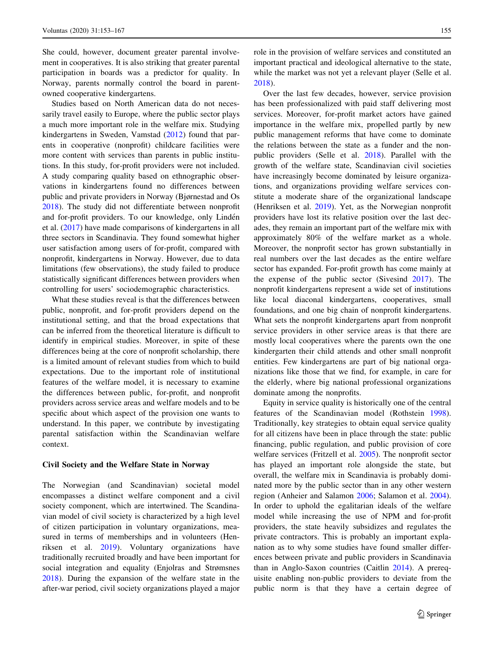She could, however, document greater parental involvement in cooperatives. It is also striking that greater parental participation in boards was a predictor for quality. In Norway, parents normally control the board in parentowned cooperative kindergartens.

Studies based on North American data do not necessarily travel easily to Europe, where the public sector plays a much more important role in the welfare mix. Studying kindergartens in Sweden, Vamstad ([2012\)](#page-14-0) found that parents in cooperative (nonprofit) childcare facilities were more content with services than parents in public institutions. In this study, for-profit providers were not included. A study comparing quality based on ethnographic observations in kindergartens found no differences between public and private providers in Norway (Bjørnestad and Os [2018\)](#page-13-0). The study did not differentiate between nonprofit and for-profit providers. To our knowledge, only Lindén et al. [\(2017](#page-13-0)) have made comparisons of kindergartens in all three sectors in Scandinavia. They found somewhat higher user satisfaction among users of for-profit, compared with nonprofit, kindergartens in Norway. However, due to data limitations (few observations), the study failed to produce statistically significant differences between providers when controlling for users' sociodemographic characteristics.

What these studies reveal is that the differences between public, nonprofit, and for-profit providers depend on the institutional setting, and that the broad expectations that can be inferred from the theoretical literature is difficult to identify in empirical studies. Moreover, in spite of these differences being at the core of nonprofit scholarship, there is a limited amount of relevant studies from which to build expectations. Due to the important role of institutional features of the welfare model, it is necessary to examine the differences between public, for-profit, and nonprofit providers across service areas and welfare models and to be specific about which aspect of the provision one wants to understand. In this paper, we contribute by investigating parental satisfaction within the Scandinavian welfare context.

## Civil Society and the Welfare State in Norway

The Norwegian (and Scandinavian) societal model encompasses a distinct welfare component and a civil society component, which are intertwined. The Scandinavian model of civil society is characterized by a high level of citizen participation in voluntary organizations, measured in terms of memberships and in volunteers (Henriksen et al. [2019](#page-13-0)). Voluntary organizations have traditionally recruited broadly and have been important for social integration and equality (Enjolras and Strømsnes [2018\)](#page-13-0). During the expansion of the welfare state in the after-war period, civil society organizations played a major role in the provision of welfare services and constituted an important practical and ideological alternative to the state, while the market was not yet a relevant player (Selle et al. [2018](#page-14-0)).

Over the last few decades, however, service provision has been professionalized with paid staff delivering most services. Moreover, for-profit market actors have gained importance in the welfare mix, propelled partly by new public management reforms that have come to dominate the relations between the state as a funder and the nonpublic providers (Selle et al. [2018\)](#page-14-0). Parallel with the growth of the welfare state, Scandinavian civil societies have increasingly become dominated by leisure organizations, and organizations providing welfare services constitute a moderate share of the organizational landscape (Henriksen et al. [2019\)](#page-13-0). Yet, as the Norwegian nonprofit providers have lost its relative position over the last decades, they remain an important part of the welfare mix with approximately 80% of the welfare market as a whole. Moreover, the nonprofit sector has grown substantially in real numbers over the last decades as the entire welfare sector has expanded. For-profit growth has come mainly at the expense of the public sector (Sivesind [2017](#page-14-0)). The nonprofit kindergartens represent a wide set of institutions like local diaconal kindergartens, cooperatives, small foundations, and one big chain of nonprofit kindergartens. What sets the nonprofit kindergartens apart from nonprofit service providers in other service areas is that there are mostly local cooperatives where the parents own the one kindergarten their child attends and other small nonprofit entities. Few kindergartens are part of big national organizations like those that we find, for example, in care for the elderly, where big national professional organizations dominate among the nonprofits.

Equity in service quality is historically one of the central features of the Scandinavian model (Rothstein [1998](#page-14-0)). Traditionally, key strategies to obtain equal service quality for all citizens have been in place through the state: public financing, public regulation, and public provision of core welfare services (Fritzell et al. [2005](#page-13-0)). The nonprofit sector has played an important role alongside the state, but overall, the welfare mix in Scandinavia is probably dominated more by the public sector than in any other western region (Anheier and Salamon [2006](#page-13-0); Salamon et al. [2004](#page-14-0)). In order to uphold the egalitarian ideals of the welfare model while increasing the use of NPM and for-profit providers, the state heavily subsidizes and regulates the private contractors. This is probably an important explanation as to why some studies have found smaller differences between private and public providers in Scandinavia than in Anglo-Saxon countries (Caitlin [2014\)](#page-13-0). A prerequisite enabling non-public providers to deviate from the public norm is that they have a certain degree of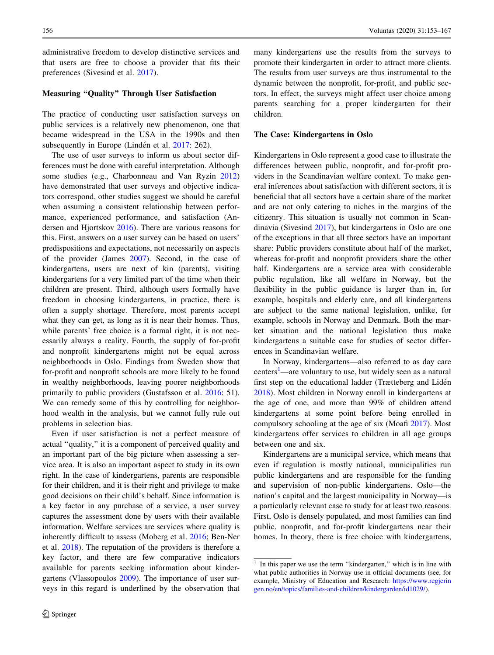administrative freedom to develop distinctive services and that users are free to choose a provider that fits their preferences (Sivesind et al. [2017](#page-14-0)).

## Measuring ''Quality'' Through User Satisfaction

The practice of conducting user satisfaction surveys on public services is a relatively new phenomenon, one that became widespread in the USA in the 1990s and then subsequently in Europe (Lindén et al. [2017:](#page-13-0) 262).

The use of user surveys to inform us about sector differences must be done with careful interpretation. Although some studies (e.g., Charbonneau and Van Ryzin [2012\)](#page-13-0) have demonstrated that user surveys and objective indicators correspond, other studies suggest we should be careful when assuming a consistent relationship between performance, experienced performance, and satisfaction (Andersen and Hjortskov [2016\)](#page-13-0). There are various reasons for this. First, answers on a user survey can be based on users' predispositions and expectations, not necessarily on aspects of the provider (James [2007\)](#page-13-0). Second, in the case of kindergartens, users are next of kin (parents), visiting kindergartens for a very limited part of the time when their children are present. Third, although users formally have freedom in choosing kindergartens, in practice, there is often a supply shortage. Therefore, most parents accept what they can get, as long as it is near their homes. Thus, while parents' free choice is a formal right, it is not necessarily always a reality. Fourth, the supply of for-profit and nonprofit kindergartens might not be equal across neighborhoods in Oslo. Findings from Sweden show that for-profit and nonprofit schools are more likely to be found in wealthy neighborhoods, leaving poorer neighborhoods primarily to public providers (Gustafsson et al. [2016](#page-13-0): 51). We can remedy some of this by controlling for neighborhood wealth in the analysis, but we cannot fully rule out problems in selection bias.

Even if user satisfaction is not a perfect measure of actual ''quality,'' it is a component of perceived quality and an important part of the big picture when assessing a service area. It is also an important aspect to study in its own right. In the case of kindergartens, parents are responsible for their children, and it is their right and privilege to make good decisions on their child's behalf. Since information is a key factor in any purchase of a service, a user survey captures the assessment done by users with their available information. Welfare services are services where quality is inherently difficult to assess (Moberg et al. [2016;](#page-13-0) Ben-Ner et al. [2018\)](#page-13-0). The reputation of the providers is therefore a key factor, and there are few comparative indicators available for parents seeking information about kindergartens (Vlassopoulos [2009](#page-14-0)). The importance of user surveys in this regard is underlined by the observation that many kindergartens use the results from the surveys to promote their kindergarten in order to attract more clients. The results from user surveys are thus instrumental to the dynamic between the nonprofit, for-profit, and public sectors. In effect, the surveys might affect user choice among parents searching for a proper kindergarten for their children.

## The Case: Kindergartens in Oslo

Kindergartens in Oslo represent a good case to illustrate the differences between public, nonprofit, and for-profit providers in the Scandinavian welfare context. To make general inferences about satisfaction with different sectors, it is beneficial that all sectors have a certain share of the market and are not only catering to niches in the margins of the citizenry. This situation is usually not common in Scandinavia (Sivesind [2017\)](#page-14-0), but kindergartens in Oslo are one of the exceptions in that all three sectors have an important share: Public providers constitute about half of the market, whereas for-profit and nonprofit providers share the other half. Kindergartens are a service area with considerable public regulation, like all welfare in Norway, but the flexibility in the public guidance is larger than in, for example, hospitals and elderly care, and all kindergartens are subject to the same national legislation, unlike, for example, schools in Norway and Denmark. Both the market situation and the national legislation thus make kindergartens a suitable case for studies of sector differences in Scandinavian welfare.

In Norway, kindergartens—also referred to as day care centers<sup>1</sup>—are voluntary to use, but widely seen as a natural first step on the educational ladder (Trætteberg and Lidén [2018](#page-14-0)). Most children in Norway enroll in kindergartens at the age of one, and more than 99% of children attend kindergartens at some point before being enrolled in compulsory schooling at the age of six (Moafi [2017](#page-13-0)). Most kindergartens offer services to children in all age groups between one and six.

Kindergartens are a municipal service, which means that even if regulation is mostly national, municipalities run public kindergartens and are responsible for the funding and supervision of non-public kindergartens. Oslo—the nation's capital and the largest municipality in Norway—is a particularly relevant case to study for at least two reasons. First, Oslo is densely populated, and most families can find public, nonprofit, and for-profit kindergartens near their homes. In theory, there is free choice with kindergartens,

 $1$  In this paper we use the term "kindergarten," which is in line with what public authorities in Norway use in official documents (see, for example, Ministry of Education and Research: [https://www.regjerin](https://www.regjeringen.no/en/topics/families-and-children/kindergarden/id1029/) [gen.no/en/topics/families-and-children/kindergarden/id1029/](https://www.regjeringen.no/en/topics/families-and-children/kindergarden/id1029/)).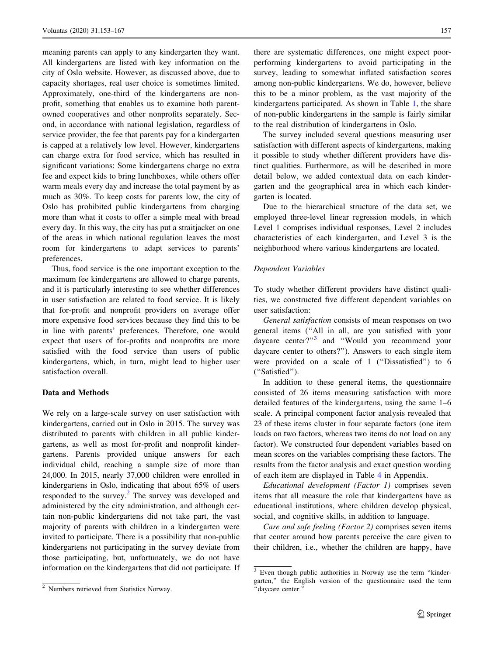meaning parents can apply to any kindergarten they want. All kindergartens are listed with key information on the city of Oslo website. However, as discussed above, due to capacity shortages, real user choice is sometimes limited. Approximately, one-third of the kindergartens are nonprofit, something that enables us to examine both parentowned cooperatives and other nonprofits separately. Second, in accordance with national legislation, regardless of service provider, the fee that parents pay for a kindergarten is capped at a relatively low level. However, kindergartens can charge extra for food service, which has resulted in significant variations: Some kindergartens charge no extra fee and expect kids to bring lunchboxes, while others offer warm meals every day and increase the total payment by as much as 30%. To keep costs for parents low, the city of Oslo has prohibited public kindergartens from charging more than what it costs to offer a simple meal with bread every day. In this way, the city has put a straitjacket on one of the areas in which national regulation leaves the most room for kindergartens to adapt services to parents' preferences.

Thus, food service is the one important exception to the maximum fee kindergartens are allowed to charge parents, and it is particularly interesting to see whether differences in user satisfaction are related to food service. It is likely that for-profit and nonprofit providers on average offer more expensive food services because they find this to be in line with parents' preferences. Therefore, one would expect that users of for-profits and nonprofits are more satisfied with the food service than users of public kindergartens, which, in turn, might lead to higher user satisfaction overall.

#### Data and Methods

We rely on a large-scale survey on user satisfaction with kindergartens, carried out in Oslo in 2015. The survey was distributed to parents with children in all public kindergartens, as well as most for-profit and nonprofit kindergartens. Parents provided unique answers for each individual child, reaching a sample size of more than 24,000. In 2015, nearly 37,000 children were enrolled in kindergartens in Oslo, indicating that about 65% of users responded to the survey.<sup>2</sup> The survey was developed and administered by the city administration, and although certain non-public kindergartens did not take part, the vast majority of parents with children in a kindergarten were invited to participate. There is a possibility that non-public kindergartens not participating in the survey deviate from those participating, but, unfortunately, we do not have information on the kindergartens that did not participate. If

there are systematic differences, one might expect poorperforming kindergartens to avoid participating in the survey, leading to somewhat inflated satisfaction scores among non-public kindergartens. We do, however, believe this to be a minor problem, as the vast majority of the kindergartens participated. As shown in Table [1](#page-5-0), the share of non-public kindergartens in the sample is fairly similar to the real distribution of kindergartens in Oslo.

The survey included several questions measuring user satisfaction with different aspects of kindergartens, making it possible to study whether different providers have distinct qualities. Furthermore, as will be described in more detail below, we added contextual data on each kindergarten and the geographical area in which each kindergarten is located.

Due to the hierarchical structure of the data set, we employed three-level linear regression models, in which Level 1 comprises individual responses, Level 2 includes characteristics of each kindergarten, and Level 3 is the neighborhood where various kindergartens are located.

#### Dependent Variables

To study whether different providers have distinct qualities, we constructed five different dependent variables on user satisfaction:

General satisfaction consists of mean responses on two general items (''All in all, are you satisfied with your daycare center?"<sup>3</sup> and "Would you recommend your daycare center to others?''). Answers to each single item were provided on a scale of 1 ("Dissatisfied") to 6 (''Satisfied'').

In addition to these general items, the questionnaire consisted of 26 items measuring satisfaction with more detailed features of the kindergartens, using the same 1–6 scale. A principal component factor analysis revealed that 23 of these items cluster in four separate factors (one item loads on two factors, whereas two items do not load on any factor). We constructed four dependent variables based on mean scores on the variables comprising these factors. The results from the factor analysis and exact question wording of each item are displayed in Table [4](#page-12-0) in Appendix.

Educational development (Factor 1) comprises seven items that all measure the role that kindergartens have as educational institutions, where children develop physical, social, and cognitive skills, in addition to language.

Care and safe feeling (Factor 2) comprises seven items that center around how parents perceive the care given to their children, i.e., whether the children are happy, have

<sup>2</sup> Numbers retrieved from Statistics Norway.

<sup>&</sup>lt;sup>3</sup> Even though public authorities in Norway use the term "kindergarten,'' the English version of the questionnaire used the term ''daycare center.''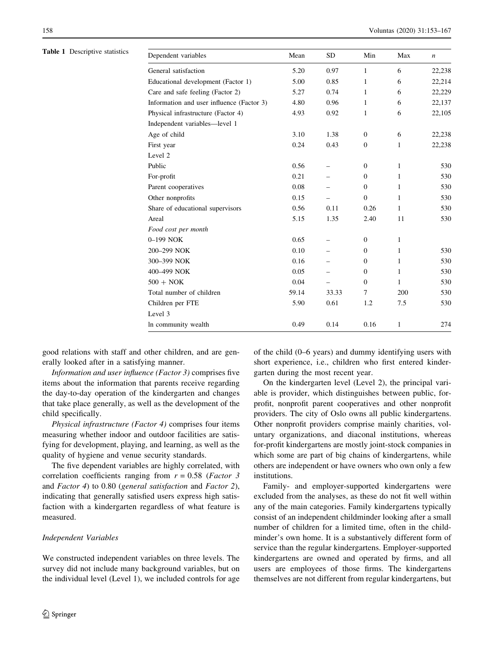<span id="page-5-0"></span>Table 1 Descriptive statistics

| Dependent variables                       | Mean  | SD    | Min          | Max          | $\boldsymbol{n}$ |
|-------------------------------------------|-------|-------|--------------|--------------|------------------|
| General satisfaction                      | 5.20  | 0.97  | 1            | 6            | 22,238           |
| Educational development (Factor 1)        | 5.00  | 0.85  | 1            | 6            | 22,214           |
| Care and safe feeling (Factor 2)          | 5.27  | 0.74  | 1            | 6            | 22,229           |
| Information and user influence (Factor 3) | 4.80  | 0.96  | 1            | 6            | 22,137           |
| Physical infrastructure (Factor 4)        | 4.93  | 0.92  | 1            | 6            | 22,105           |
| Independent variables-level 1             |       |       |              |              |                  |
| Age of child                              | 3.10  | 1.38  | $\mathbf{0}$ | 6            | 22,238           |
| First year                                | 0.24  | 0.43  | $\mathbf{0}$ | 1            | 22,238           |
| Level 2                                   |       |       |              |              |                  |
| Public                                    | 0.56  |       | $\Omega$     | $\mathbf{1}$ | 530              |
| For-profit                                | 0.21  |       | $\mathbf{0}$ | $\mathbf{1}$ | 530              |
| Parent cooperatives                       | 0.08  |       | $\mathbf{0}$ | $\mathbf{1}$ | 530              |
| Other nonprofits                          | 0.15  |       | $\Omega$     | $\mathbf{1}$ | 530              |
| Share of educational supervisors          | 0.56  | 0.11  | 0.26         | $\mathbf{1}$ | 530              |
| Areal                                     | 5.15  | 1.35  | 2.40         | 11           | 530              |
| Food cost per month                       |       |       |              |              |                  |
| $0-199$ NOK                               | 0.65  |       | $\mathbf{0}$ | $\mathbf{1}$ |                  |
| 200-299 NOK                               | 0.10  |       | $\Omega$     | $\mathbf{1}$ | 530              |
| 300-399 NOK                               | 0.16  |       | $\mathbf{0}$ | 1            | 530              |
| 400-499 NOK                               | 0.05  |       | $\Omega$     | $\mathbf{1}$ | 530              |
| $500 + NOK$                               | 0.04  |       | $\Omega$     | 1            | 530              |
| Total number of children                  | 59.14 | 33.33 | $\tau$       | 200          | 530              |
| Children per FTE                          | 5.90  | 0.61  | 1.2          | 7.5          | 530              |
| Level 3                                   |       |       |              |              |                  |
| In community wealth                       | 0.49  | 0.14  | 0.16         | 1            | 274              |

good relations with staff and other children, and are generally looked after in a satisfying manner.

Information and user influence (Factor 3) comprises five items about the information that parents receive regarding the day-to-day operation of the kindergarten and changes that take place generally, as well as the development of the child specifically.

Physical infrastructure (Factor 4) comprises four items measuring whether indoor and outdoor facilities are satisfying for development, playing, and learning, as well as the quality of hygiene and venue security standards.

The five dependent variables are highly correlated, with correlation coefficients ranging from  $r = 0.58$  (*Factor 3*) and Factor 4) to 0.80 (general satisfaction and Factor 2), indicating that generally satisfied users express high satisfaction with a kindergarten regardless of what feature is measured.

## Independent Variables

We constructed independent variables on three levels. The survey did not include many background variables, but on the individual level (Level 1), we included controls for age of the child (0–6 years) and dummy identifying users with short experience, i.e., children who first entered kindergarten during the most recent year.

On the kindergarten level (Level 2), the principal variable is provider, which distinguishes between public, forprofit, nonprofit parent cooperatives and other nonprofit providers. The city of Oslo owns all public kindergartens. Other nonprofit providers comprise mainly charities, voluntary organizations, and diaconal institutions, whereas for-profit kindergartens are mostly joint-stock companies in which some are part of big chains of kindergartens, while others are independent or have owners who own only a few institutions.

Family- and employer-supported kindergartens were excluded from the analyses, as these do not fit well within any of the main categories. Family kindergartens typically consist of an independent childminder looking after a small number of children for a limited time, often in the childminder's own home. It is a substantively different form of service than the regular kindergartens. Employer-supported kindergartens are owned and operated by firms, and all users are employees of those firms. The kindergartens themselves are not different from regular kindergartens, but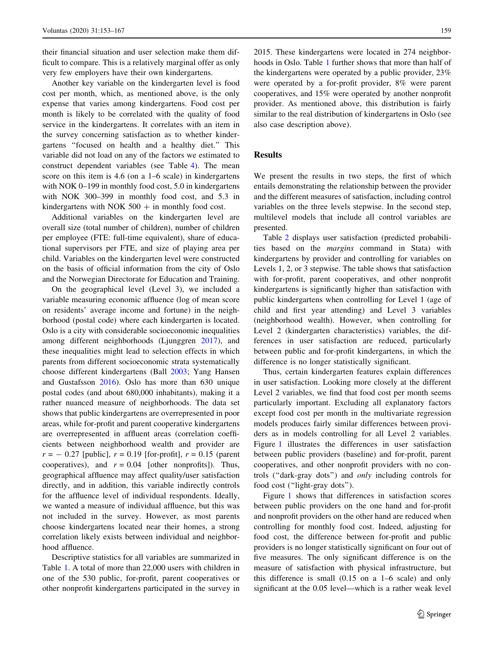their financial situation and user selection make them difficult to compare. This is a relatively marginal offer as only very few employers have their own kindergartens.

Another key variable on the kindergarten level is food cost per month, which, as mentioned above, is the only expense that varies among kindergartens. Food cost per month is likely to be correlated with the quality of food service in the kindergartens. It correlates with an item in the survey concerning satisfaction as to whether kindergartens ''focused on health and a healthy diet.'' This variable did not load on any of the factors we estimated to construct dependent variables (see Table [4\)](#page-12-0). The mean score on this item is 4.6 (on a 1–6 scale) in kindergartens with NOK 0–199 in monthly food cost, 5.0 in kindergartens with NOK 300–399 in monthly food cost, and 5.3 in kindergartens with NOK  $500 +$  in monthly food cost.

Additional variables on the kindergarten level are overall size (total number of children), number of children per employee (FTE: full-time equivalent), share of educational supervisors per FTE, and size of playing area per child. Variables on the kindergarten level were constructed on the basis of official information from the city of Oslo and the Norwegian Directorate for Education and Training.

On the geographical level (Level 3), we included a variable measuring economic affluence (log of mean score on residents' average income and fortune) in the neighborhood (postal code) where each kindergarten is located. Oslo is a city with considerable socioeconomic inequalities among different neighborhoods (Ljunggren [2017](#page-13-0)), and these inequalities might lead to selection effects in which parents from different socioeconomic strata systematically choose different kindergartens (Ball [2003;](#page-13-0) Yang Hansen and Gustafsson [2016](#page-14-0)). Oslo has more than 630 unique postal codes (and about 680,000 inhabitants), making it a rather nuanced measure of neighborhoods. The data set shows that public kindergartens are overrepresented in poor areas, while for-profit and parent cooperative kindergartens are overrepresented in affluent areas (correlation coefficients between neighborhood wealth and provider are  $r = -0.27$  [public],  $r = 0.19$  [for-profit],  $r = 0.15$  (parent cooperatives), and  $r = 0.04$  [other nonprofits]). Thus, geographical affluence may affect quality/user satisfaction directly, and in addition, this variable indirectly controls for the affluence level of individual respondents. Ideally, we wanted a measure of individual affluence, but this was not included in the survey. However, as most parents choose kindergartens located near their homes, a strong correlation likely exists between individual and neighborhood affluence.

Descriptive statistics for all variables are summarized in Table [1](#page-5-0). A total of more than 22,000 users with children in one of the 530 public, for-profit, parent cooperatives or other nonprofit kindergartens participated in the survey in 2015. These kindergartens were located in 274 neighborhoods in Oslo. Table [1](#page-5-0) further shows that more than half of the kindergartens were operated by a public provider, 23% were operated by a for-profit provider, 8% were parent cooperatives, and 15% were operated by another nonprofit provider. As mentioned above, this distribution is fairly similar to the real distribution of kindergartens in Oslo (see also case description above).

## Results

We present the results in two steps, the first of which entails demonstrating the relationship between the provider and the different measures of satisfaction, including control variables on the three levels stepwise. In the second step, multilevel models that include all control variables are presented.

Table [2](#page-7-0) displays user satisfaction (predicted probabilities based on the margins command in Stata) with kindergartens by provider and controlling for variables on Levels 1, 2, or 3 stepwise. The table shows that satisfaction with for-profit, parent cooperatives, and other nonprofit kindergartens is significantly higher than satisfaction with public kindergartens when controlling for Level 1 (age of child and first year attending) and Level 3 variables (neighborhood wealth). However, when controlling for Level 2 (kindergarten characteristics) variables, the differences in user satisfaction are reduced, particularly between public and for-profit kindergartens, in which the difference is no longer statistically significant.

Thus, certain kindergarten features explain differences in user satisfaction. Looking more closely at the different Level 2 variables, we find that food cost per month seems particularly important. Excluding all explanatory factors except food cost per month in the multivariate regression models produces fairly similar differences between providers as in models controlling for all Level 2 variables. Figure [1](#page-8-0) illustrates the differences in user satisfaction between public providers (baseline) and for-profit, parent cooperatives, and other nonprofit providers with no controls (''dark-gray dots'') and only including controls for food cost (''light-gray dots'').

Figure [1](#page-8-0) shows that differences in satisfaction scores between public providers on the one hand and for-profit and nonprofit providers on the other hand are reduced when controlling for monthly food cost. Indeed, adjusting for food cost, the difference between for-profit and public providers is no longer statistically significant on four out of five measures. The only significant difference is on the measure of satisfaction with physical infrastructure, but this difference is small (0.15 on a 1–6 scale) and only significant at the 0.05 level—which is a rather weak level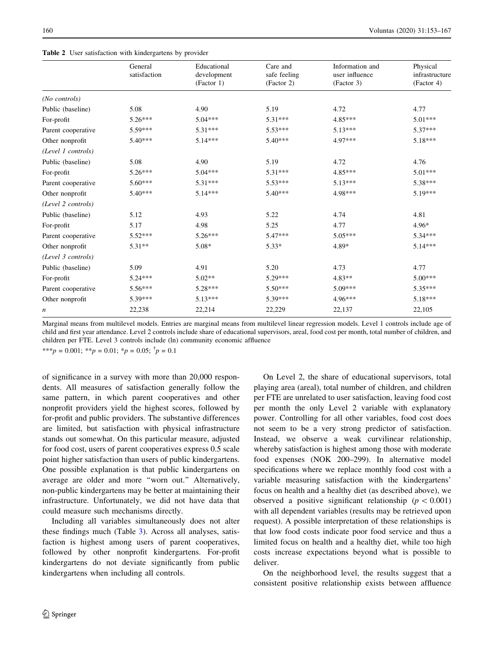<span id="page-7-0"></span>

|                    | General<br>satisfaction | Educational<br>development<br>(Factor 1) | Care and<br>safe feeling<br>(Factor 2) | Information and<br>user influence<br>(Factor 3) | Physical<br>infrastructure<br>(Factor 4) |
|--------------------|-------------------------|------------------------------------------|----------------------------------------|-------------------------------------------------|------------------------------------------|
| (No controls)      |                         |                                          |                                        |                                                 |                                          |
| Public (baseline)  | 5.08                    | 4.90                                     | 5.19                                   | 4.72                                            | 4.77                                     |
| For-profit         | $5.26***$               | $5.04***$                                | $5.31***$                              | 4.85***                                         | $5.01***$                                |
| Parent cooperative | $5.59***$               | $5.31***$                                | $5.53***$                              | $5.13***$                                       | $5.37***$                                |
| Other nonprofit    | $5.40***$               | $5.14***$                                | $5.40***$                              | 4.97***                                         | $5.18***$                                |
| (Level 1 controls) |                         |                                          |                                        |                                                 |                                          |
| Public (baseline)  | 5.08                    | 4.90                                     | 5.19                                   | 4.72                                            | 4.76                                     |
| For-profit         | 5.26***                 | $5.04***$                                | $5.31***$                              | 4.85***                                         | $5.01***$                                |
| Parent cooperative | $5.60***$               | $5.31***$                                | $5.53***$                              | $5.13***$                                       | 5.38***                                  |
| Other nonprofit    | $5.40***$               | $5.14***$                                | $5.40***$                              | 4.98***                                         | 5.19***                                  |
| (Level 2 controls) |                         |                                          |                                        |                                                 |                                          |
| Public (baseline)  | 5.12                    | 4.93                                     | 5.22                                   | 4.74                                            | 4.81                                     |
| For-profit         | 5.17                    | 4.98                                     | 5.25                                   | 4.77                                            | $4.96*$                                  |
| Parent cooperative | 5.52***                 | $5.26***$                                | 5.47***                                | 5.05***                                         | $5.34***$                                |
| Other nonprofit    | $5.31**$                | $5.08*$                                  | $5.33*$                                | 4.89*                                           | $5.14***$                                |
| (Level 3 controls) |                         |                                          |                                        |                                                 |                                          |
| Public (baseline)  | 5.09                    | 4.91                                     | 5.20                                   | 4.73                                            | 4.77                                     |
| For-profit         | $5.24***$               | $5.02**$                                 | 5.29***                                | $4.83**$                                        | $5.00***$                                |
| Parent cooperative | $5.56***$               | 5.28***                                  | $5.50***$                              | 5.09***                                         | 5.35***                                  |
| Other nonprofit    | 5.39***                 | $5.13***$                                | 5.39***                                | 4.96***                                         | $5.18***$                                |
| n                  | 22,238                  | 22,214                                   | 22,229                                 | 22,137                                          | 22,105                                   |

Marginal means from multilevel models. Entries are marginal means from multilevel linear regression models. Level 1 controls include age of child and first year attendance. Level 2 controls include share of educational supervisors, areal, food cost per month, total number of children, and children per FTE. Level 3 controls include (ln) community economic affluence

\*\*\* $p = 0.001$ ; \*\* $p = 0.01$ ; \* $p = 0.05$ ;  $\dagger p = 0.1$ 

of significance in a survey with more than 20,000 respondents. All measures of satisfaction generally follow the same pattern, in which parent cooperatives and other nonprofit providers yield the highest scores, followed by for-profit and public providers. The substantive differences are limited, but satisfaction with physical infrastructure stands out somewhat. On this particular measure, adjusted for food cost, users of parent cooperatives express 0.5 scale point higher satisfaction than users of public kindergartens. One possible explanation is that public kindergartens on average are older and more ''worn out.'' Alternatively, non-public kindergartens may be better at maintaining their infrastructure. Unfortunately, we did not have data that could measure such mechanisms directly.

Including all variables simultaneously does not alter these findings much (Table [3](#page-9-0)). Across all analyses, satisfaction is highest among users of parent cooperatives, followed by other nonprofit kindergartens. For-profit kindergartens do not deviate significantly from public kindergartens when including all controls.

On Level 2, the share of educational supervisors, total playing area (areal), total number of children, and children per FTE are unrelated to user satisfaction, leaving food cost per month the only Level 2 variable with explanatory power. Controlling for all other variables, food cost does not seem to be a very strong predictor of satisfaction. Instead, we observe a weak curvilinear relationship, whereby satisfaction is highest among those with moderate food expenses (NOK 200–299). In alternative model specifications where we replace monthly food cost with a variable measuring satisfaction with the kindergartens' focus on health and a healthy diet (as described above), we observed a positive significant relationship ( $p \lt 0.001$ ) with all dependent variables (results may be retrieved upon request). A possible interpretation of these relationships is that low food costs indicate poor food service and thus a limited focus on health and a healthy diet, while too high costs increase expectations beyond what is possible to deliver.

On the neighborhood level, the results suggest that a consistent positive relationship exists between affluence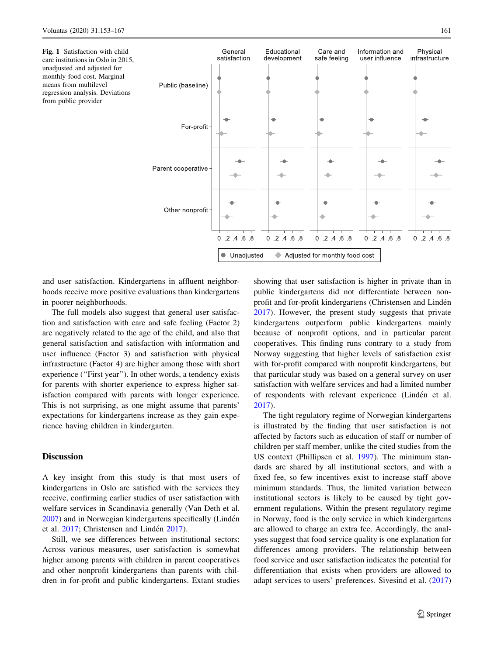<span id="page-8-0"></span>Fig. 1 Satisfaction with child care institutions in Oslo in 2015, unadjusted and adjusted for monthly food cost. Marginal means from multilevel regression analysis. Deviations from public provider



and user satisfaction. Kindergartens in affluent neighborhoods receive more positive evaluations than kindergartens in poorer neighborhoods.

The full models also suggest that general user satisfaction and satisfaction with care and safe feeling (Factor 2) are negatively related to the age of the child, and also that general satisfaction and satisfaction with information and user influence (Factor 3) and satisfaction with physical infrastructure (Factor 4) are higher among those with short experience ("First year"). In other words, a tendency exists for parents with shorter experience to express higher satisfaction compared with parents with longer experience. This is not surprising, as one might assume that parents' expectations for kindergartens increase as they gain experience having children in kindergarten.

# **Discussion**

A key insight from this study is that most users of kindergartens in Oslo are satisfied with the services they receive, confirming earlier studies of user satisfaction with welfare services in Scandinavia generally (Van Deth et al. [2007\)](#page-14-0) and in Norwegian kindergartens specifically (Lindén et al. [2017;](#page-13-0) Christensen and Lindén [2017\)](#page-13-0).

Still, we see differences between institutional sectors: Across various measures, user satisfaction is somewhat higher among parents with children in parent cooperatives and other nonprofit kindergartens than parents with children in for-profit and public kindergartens. Extant studies showing that user satisfaction is higher in private than in public kindergartens did not differentiate between nonprofit and for-profit kindergartens (Christensen and Lindén [2017](#page-13-0)). However, the present study suggests that private kindergartens outperform public kindergartens mainly because of nonprofit options, and in particular parent cooperatives. This finding runs contrary to a study from Norway suggesting that higher levels of satisfaction exist with for-profit compared with nonprofit kindergartens, but that particular study was based on a general survey on user satisfaction with welfare services and had a limited number of respondents with relevant experience (Lindén et al. [2017](#page-13-0)).

The tight regulatory regime of Norwegian kindergartens is illustrated by the finding that user satisfaction is not affected by factors such as education of staff or number of children per staff member, unlike the cited studies from the US context (Phillipsen et al. [1997](#page-13-0)). The minimum standards are shared by all institutional sectors, and with a fixed fee, so few incentives exist to increase staff above minimum standards. Thus, the limited variation between institutional sectors is likely to be caused by tight government regulations. Within the present regulatory regime in Norway, food is the only service in which kindergartens are allowed to charge an extra fee. Accordingly, the analyses suggest that food service quality is one explanation for differences among providers. The relationship between food service and user satisfaction indicates the potential for differentiation that exists when providers are allowed to adapt services to users' preferences. Sivesind et al. ([2017\)](#page-14-0)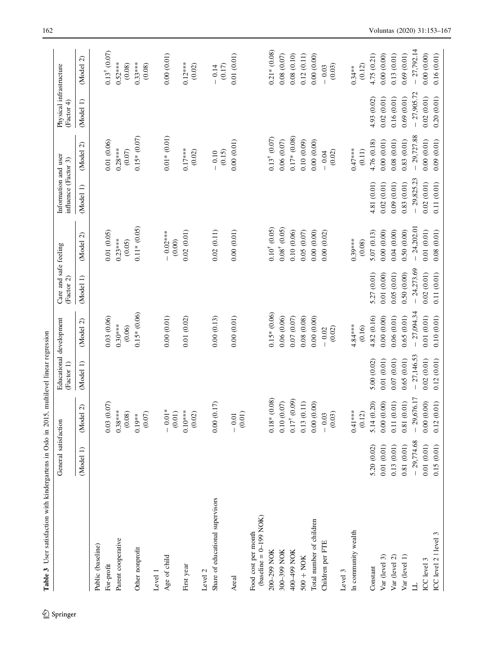<span id="page-9-0"></span>

| Table 3 User satisfaction with kindergartens in Oslo in 2015, | General satisfaction    |                                   | Educational development<br>multilevel linear regression<br>(Factor 1) |                                   | Care and safe feeling<br>(Factor 2) |                                                 | Information and user<br>influence (Factor 3) |                                         | Physical infrastructure<br>(Factor 4) |                                   |
|---------------------------------------------------------------|-------------------------|-----------------------------------|-----------------------------------------------------------------------|-----------------------------------|-------------------------------------|-------------------------------------------------|----------------------------------------------|-----------------------------------------|---------------------------------------|-----------------------------------|
|                                                               | $\widehat{=}$<br>(Model | $\widehat{\mathcal{L}}$<br>(Model | (Model 1)                                                             | $\widehat{\mathcal{C}}$<br>(Model | (Model 1)                           | $\widehat{\mathcal{C}}$<br><b>Model</b>         | (Model 1)                                    | $\widehat{\mathcal{L}}$<br><b>Model</b> | (Model 1)                             | $\widehat{\mathcal{L}}$<br>(Model |
| Public (baseline)                                             |                         |                                   |                                                                       |                                   |                                     |                                                 |                                              |                                         |                                       |                                   |
| For-profit                                                    |                         | 0.03(0.07)                        |                                                                       | 0.03(0.06)                        |                                     | 0.01(0.05)                                      |                                              | 0.01(0.06)                              |                                       | $0.13$ <sup>†</sup> (0.07)        |
| Parent cooperative                                            |                         | $0.38***$<br>(0.08)               |                                                                       | $0.30***$<br>(0.06)               |                                     | $0.23***$<br>(0.05)                             |                                              | $0.28***$<br>$(0.07)$                   |                                       | $0.52***$<br>(0.08)               |
| Other nonprofit                                               |                         | $0.19***$<br>(0.07)               |                                                                       | $0.15* (0.06)$                    |                                     | $0.11*$ (0.05)                                  |                                              | $0.15*(0.07)$                           |                                       | $0.33***$<br>(0.08)               |
| Level                                                         |                         |                                   |                                                                       |                                   |                                     |                                                 |                                              |                                         |                                       |                                   |
| Age of child                                                  |                         | $-0.01*$<br>(0.01)                |                                                                       | 0.00(0.01)                        |                                     | $0.02***$<br>(0.00)<br>$\overline{\phantom{a}}$ |                                              | $0.01*(0.01)$                           |                                       | 0.00(0.01)                        |
| First year                                                    |                         | $0.10***$<br>$(0.02)$             |                                                                       | 0.01(0.02)                        |                                     | 0.02(0.01)                                      |                                              | $0.17***$<br>(0.02)                     |                                       | $0.12***$<br>(0.02)               |
| Level 2                                                       |                         |                                   |                                                                       |                                   |                                     |                                                 |                                              |                                         |                                       |                                   |
| Share of educational supervisors                              |                         | 0.00(0.17)                        |                                                                       | 0.00(0.13)                        |                                     | 0.02(0.11)                                      |                                              | (0.15)<br>$-0.10$                       |                                       | (0.17)<br>$-0.14$                 |
| Areal                                                         |                         | (0.01)<br>$-0.01$                 |                                                                       | 0.00(0.01)                        |                                     | 0.00(0.01)                                      |                                              | 0.00(0.01)                              |                                       | 0.01(0.01)                        |
| (baseline = $0-199$ NOK)<br>Food cost per month               |                         |                                   |                                                                       |                                   |                                     |                                                 |                                              |                                         |                                       |                                   |
| 200-299 NOK                                                   |                         | $0.18*(0.08)$                     |                                                                       | $0.15*(0.06)$                     |                                     | $0.10^{+}$ $(0.05)$                             |                                              | $0.13^{\dagger}$ $(0.07)$               |                                       | $0.21*$ (0.08)                    |
| 300-399 NOK                                                   |                         | 0.10(0.07)                        |                                                                       | 0.06 (0.06)                       |                                     | $0.08^{\dagger}$ (0.05)                         |                                              | 0.06(0.07)                              |                                       | 0.08 (0.07)                       |
| 400-499 NOK                                                   |                         | $0.17^{\dagger}$ (0.09)           |                                                                       | 0.07(0.07)                        |                                     | 0.10(0.06)                                      |                                              | $0.17*(0.08)$                           |                                       | 0.08(0.10)                        |
| $500 + NOK$                                                   |                         | 0.13(0.11)                        |                                                                       | 0.08(0.08)                        |                                     | 0.05(0.07)                                      |                                              | 0.10(0.09)                              |                                       | 0.12(0.11)                        |
| Total number of children                                      |                         | 0.00(0.00)                        |                                                                       | 0.00(0.00)                        |                                     | 0.00(0.00)                                      |                                              | 0.00(0.00)                              |                                       | 0.00(0.00)                        |
| Children per FTE                                              |                         | $-0.03$<br>(0.03)                 |                                                                       | (0.02)<br>$-0.02$                 |                                     | 0.00(0.02)                                      |                                              | (0.02)<br>$-0.04$                       |                                       | (0.03)<br>$-0.03$                 |
| Level 3                                                       |                         |                                   |                                                                       |                                   |                                     |                                                 |                                              |                                         |                                       |                                   |
| In community wealth                                           |                         | $0.41***$<br>(0.12)               |                                                                       | $4.84***$<br>(0.16)               |                                     | $0.39***$<br>(0.08)                             |                                              | $0.47***$<br>(0.11)                     |                                       | (0.12)<br>$0.34***$               |
| Constant                                                      | 5.20 (0.02)             | 5.14 (0.20)                       | 5.00(0.02)                                                            | 4.82 (0.16)                       | 5.27 (0.01)                         | 5.07(0.13)                                      | 4.81 (0.01)                                  | 4.76 (0.18)                             | 4.93 (0.02)                           | 4.75 (0.21)                       |
| Var (level 3)                                                 | 0.01(0.01)              | 0.00(0.00)                        | 0.01(0.01)                                                            | 0.00(0.00)                        | 0.01(0.00)                          | 0.00(0.00)                                      | 0.02(0.01)                                   | 0.00(0.01)                              | 0.02(0.01)                            | 0.00(0.00)                        |
| Var (level 2)                                                 | 0.13(0.01)              | 0.11(0.01)                        | 0.07(0.01)                                                            | 0.06(0.01)                        | 0.05(0.01)                          | 0.04(0.00)                                      | 0.09(0.01)                                   | 0.08(0.01)                              | 0.16(0.01)                            | 0.13(0.01)                        |
| Var (level 1)                                                 | 0.81(0.01)              | 0.81(0.01)                        | 0.65(0.01)                                                            | 0.65(0.01)                        | 0.50(0.00)                          | 0.50(0.00)                                      | 0.83(0.01)                                   | 0.83(0.01)                              | 0.69(0.01)                            | 0.69(0.01)                        |
| 」                                                             | $-29,774.68$            | $-29,676.17$                      | $-27,146.53$                                                          | $-27,094.34$                      | $-24,273.69$                        | $-24,202.01$                                    | $-29,825.23$                                 | $-29,727.88$                            | $-27,905.72$                          | $-27,792.14$                      |
| ICC level 3                                                   | 0.01(0.01)              | 0.00(0.00)                        | 0.02(0.01)                                                            | 0.01(0.01)                        | 0.02(0.01)                          | 0.01(0.01)                                      | 0.02(0.01)                                   | 0.00(0.01)                              | 0.02(0.01)                            | 0.00(0.00)                        |
| ICC level 2   level 3                                         | 0.15(0.01)              | 0.12(0.01)                        | 0.12(0.01)                                                            | 0.10(0.01)                        | 0.11(0.01)                          | 0.08(0.01)                                      | 0.11(0.01)                                   | 0.09(0.01)                              | 0.20(0.01)                            | 0.16(0.01)                        |

Table 3 User satisfaction with kindergartens in Oslo in 2015, multilevel linear regression Ê  $\frac{1}{2}$  $2015$  $\ddot{\phantom{0}}$  $O_{c1}$  $\ddot{\phantom{a}}$ ŀ,  $\frac{1}{2}$  $\frac{4}{1}$  $\ddot{\phantom{a}}$ ري.<br>مان Ě  $\ddot{\phantom{0}}$ Toble

 $\underline{\textcircled{\tiny 2}}$  Springer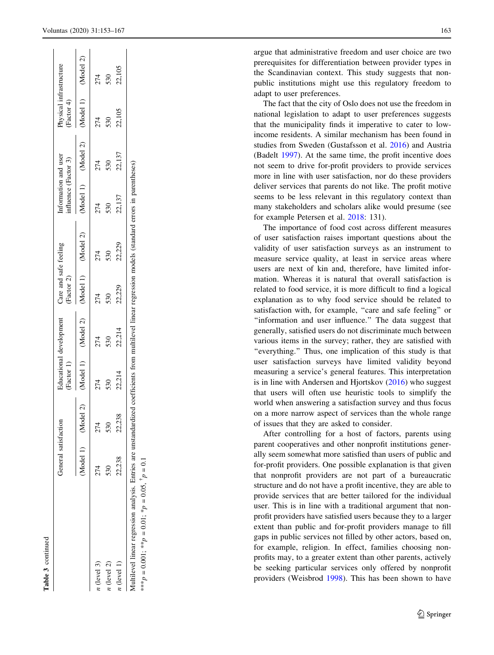| f           |
|-------------|
|             |
| с<br>ć<br>∍ |
|             |

|               | General satisfaction |        | Factor 1) | ducational development | Care and safe feeling<br>(Factor 2) |        | Information and user<br>influence (Factor 3) |                                         | Physical infrastructure<br>Factor 4) |        |
|---------------|----------------------|--------|-----------|------------------------|-------------------------------------|--------|----------------------------------------------|-----------------------------------------|--------------------------------------|--------|
|               | (Model 1) (Model     |        |           | (Model 1) (Model 2)    | (Model 1) (Model 2)                 |        |                                              | (Model 1) (Model 2) (Model 1) (Model 2) |                                      |        |
| $n$ (level 3) |                      | 274    |           | 274                    | 274                                 | 274    | 274                                          | 274                                     | 274                                  | 274    |
| $n$ (level 2) |                      | 530    | 530       | 530                    | 530                                 | 530    | 530                                          | 530                                     | 530                                  | 530    |
| $n$ (level 1) | 22,238               | 22,238 | 22,214    | 22,214                 | 22,229                              | 22,229 | 22,137                                       | 22,137                                  | 22,105                               | 22,105 |

\*\*\* $p = 0.001$ ; \*\* $p = 0.01$ ; \* $p = 0.05$ ,  $\dagger$  $p_{\ast\ast}p = 0.001$ ;  $\ast\ast p = 0.01$ ;  $\ast p = 0.05$ ,  $\dag p = 0.1$  argue that administrative freedom and user choice are two prerequisites for differentiation between provider types in the Scandinavian context. This study suggests that nonpublic institutions might use this regulatory freedom to adapt to user preferences. The fact that the city of Oslo does not use the freedom in

national legislation to adapt to user preferences suggests that the municipality finds it imperative to cater to lowincome residents. A similar mechanism has been found in studies from Sweden (Gustafsson et al. [2016](#page-13-0)) and Austria (Badelt [1997](#page-13-0)). At the same time, the profit incentive does not seem to drive for-profit providers to provide services more in line with user satisfaction, nor do these providers deliver services that parents do not like. The profit motive seems to be less relevant in this regulatory context than many stakeholders and scholars alike would presume (see for example Petersen et al. [2018](#page-13-0): 131).

The importance of food cost across different measures of user satisfaction raises important questions about the validity of user satisfaction surveys as an instrument to measure service quality, at least in service areas where users are next of kin and, therefore, have limited information. Whereas it is natural that overall satisfaction is related to food service, it is more difficult to find a logical explanation as to why food service should be related to satisfaction with, for example, "care and safe feeling" or ''information and user influence.'' The data suggest that generally, satisfied users do not discriminate much between various items in the survey; rather, they are satisfied with "everything." Thus, one implication of this study is that user satisfaction surveys have limited validity beyond measuring a service's general features. This interpretation is in line with Andersen and Hjortskov  $(2016)$  $(2016)$  who suggest that users will often use heuristic tools to simplify the world when answering a satisfaction survey and thus focus on a more narrow aspect of services than the whole range of issues that they are asked to consider.

After controlling for a host of factors, parents using parent cooperatives and other nonprofit institutions generally seem somewhat more satisfied than users of public and for-profit providers. One possible explanation is that given that nonprofit providers are not part of a bureaucratic structure and do not have a profit incentive, they are able to provide services that are better tailored for the individual user. This is in line with a traditional argument that nonprofit providers have satisfied users because they to a larger extent than public and for-profit providers manage to fill gaps in public services not filled by other actors, based on, for example, religion. In effect, families choosing nonprofits may, to a greater extent than other parents, actively be seeking particular services only offered by nonprofit providers (Weisbrod [1998](#page-14-0)). This has been shown to have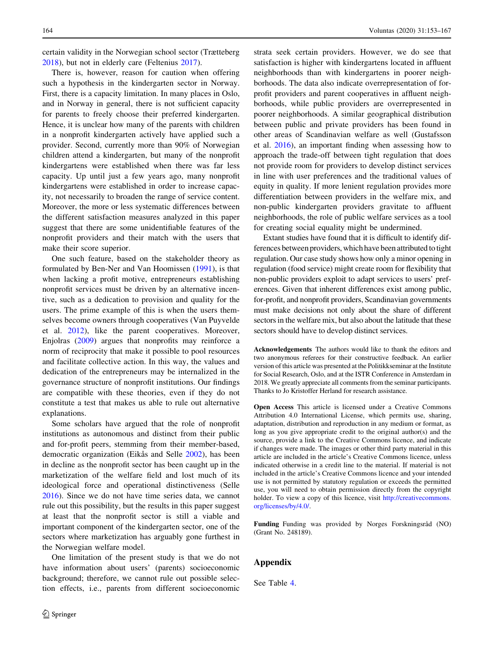certain validity in the Norwegian school sector (Trætteberg [2018\)](#page-14-0), but not in elderly care (Feltenius [2017](#page-13-0)).

There is, however, reason for caution when offering such a hypothesis in the kindergarten sector in Norway. First, there is a capacity limitation. In many places in Oslo, and in Norway in general, there is not sufficient capacity for parents to freely choose their preferred kindergarten. Hence, it is unclear how many of the parents with children in a nonprofit kindergarten actively have applied such a provider. Second, currently more than 90% of Norwegian children attend a kindergarten, but many of the nonprofit kindergartens were established when there was far less capacity. Up until just a few years ago, many nonprofit kindergartens were established in order to increase capacity, not necessarily to broaden the range of service content. Moreover, the more or less systematic differences between the different satisfaction measures analyzed in this paper suggest that there are some unidentifiable features of the nonprofit providers and their match with the users that make their score superior.

One such feature, based on the stakeholder theory as formulated by Ben-Ner and Van Hoomissen ([1991\)](#page-13-0), is that when lacking a profit motive, entrepreneurs establishing nonprofit services must be driven by an alternative incentive, such as a dedication to provision and quality for the users. The prime example of this is when the users themselves become owners through cooperatives (Van Puyvelde et al. [2012\)](#page-14-0), like the parent cooperatives. Moreover, Enjolras [\(2009](#page-13-0)) argues that nonprofits may reinforce a norm of reciprocity that make it possible to pool resources and facilitate collective action. In this way, the values and dedication of the entrepreneurs may be internalized in the governance structure of nonprofit institutions. Our findings are compatible with these theories, even if they do not constitute a test that makes us able to rule out alternative explanations.

Some scholars have argued that the role of nonprofit institutions as autonomous and distinct from their public and for-profit peers, stemming from their member-based, democratic organization (Eikås and Selle [2002\)](#page-13-0), has been in decline as the nonprofit sector has been caught up in the marketization of the welfare field and lost much of its ideological force and operational distinctiveness (Selle [2016\)](#page-14-0). Since we do not have time series data, we cannot rule out this possibility, but the results in this paper suggest at least that the nonprofit sector is still a viable and important component of the kindergarten sector, one of the sectors where marketization has arguably gone furthest in the Norwegian welfare model.

One limitation of the present study is that we do not have information about users' (parents) socioeconomic background; therefore, we cannot rule out possible selection effects, i.e., parents from different socioeconomic strata seek certain providers. However, we do see that satisfaction is higher with kindergartens located in affluent neighborhoods than with kindergartens in poorer neighborhoods. The data also indicate overrepresentation of forprofit providers and parent cooperatives in affluent neighborhoods, while public providers are overrepresented in poorer neighborhoods. A similar geographical distribution between public and private providers has been found in other areas of Scandinavian welfare as well (Gustafsson et al. [2016\)](#page-13-0), an important finding when assessing how to approach the trade-off between tight regulation that does not provide room for providers to develop distinct services in line with user preferences and the traditional values of equity in quality. If more lenient regulation provides more differentiation between providers in the welfare mix, and non-public kindergarten providers gravitate to affluent neighborhoods, the role of public welfare services as a tool for creating social equality might be undermined.

Extant studies have found that it is difficult to identify differences between providers, which have been attributed to tight regulation. Our case study shows how only a minor opening in regulation (food service) might create room for flexibility that non-public providers exploit to adapt services to users' preferences. Given that inherent differences exist among public, for-profit, and nonprofit providers, Scandinavian governments must make decisions not only about the share of different sectors in the welfare mix, but also about the latitude that these sectors should have to develop distinct services.

Acknowledgements The authors would like to thank the editors and two anonymous referees for their constructive feedback. An earlier version of this article was presented at the Politikkseminar at the Institute for Social Research, Oslo, and at the ISTR Conference in Amsterdam in 2018. We greatly appreciate all comments from the seminar participants. Thanks to Jo Kristoffer Herland for research assistance.

Open Access This article is licensed under a Creative Commons Attribution 4.0 International License, which permits use, sharing, adaptation, distribution and reproduction in any medium or format, as long as you give appropriate credit to the original author(s) and the source, provide a link to the Creative Commons licence, and indicate if changes were made. The images or other third party material in this article are included in the article's Creative Commons licence, unless indicated otherwise in a credit line to the material. If material is not included in the article's Creative Commons licence and your intended use is not permitted by statutory regulation or exceeds the permitted use, you will need to obtain permission directly from the copyright holder. To view a copy of this licence, visit [http://creativecommons.](http://creativecommons.org/licenses/by/4.0/) [org/licenses/by/4.0/.](http://creativecommons.org/licenses/by/4.0/)

Funding Funding was provided by Norges Forskningsråd (NO) (Grant No. 248189).

## Appendix

See Table [4](#page-12-0).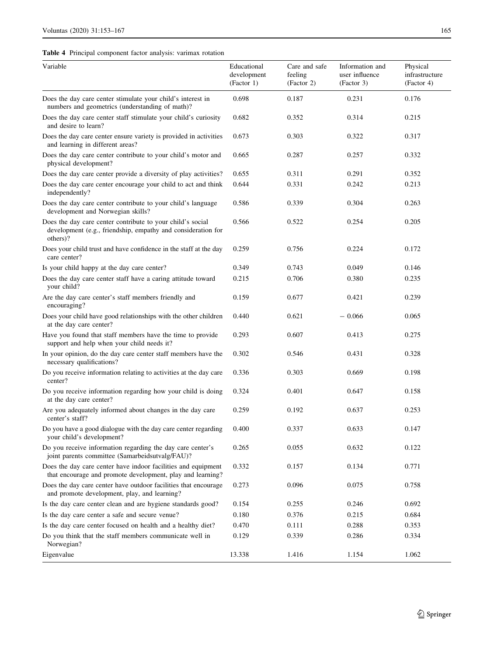<span id="page-12-0"></span>Table 4 Principal component factor analysis: varimax rotation

| Variable                                                                                                                               | Educational<br>development<br>(Factor 1) | Care and safe<br>feeling<br>(Factor 2) | Information and<br>user influence<br>(Factor 3) | Physical<br>infrastructure<br>(Factor 4) |
|----------------------------------------------------------------------------------------------------------------------------------------|------------------------------------------|----------------------------------------|-------------------------------------------------|------------------------------------------|
| Does the day care center stimulate your child's interest in<br>numbers and geometrics (understanding of math)?                         | 0.698                                    | 0.187                                  | 0.231                                           | 0.176                                    |
| Does the day care center staff stimulate your child's curiosity<br>and desire to learn?                                                | 0.682                                    | 0.352                                  | 0.314                                           | 0.215                                    |
| Does the day care center ensure variety is provided in activities<br>and learning in different areas?                                  | 0.673                                    | 0.303                                  | 0.322                                           | 0.317                                    |
| Does the day care center contribute to your child's motor and<br>physical development?                                                 | 0.665                                    | 0.287                                  | 0.257                                           | 0.332                                    |
| Does the day care center provide a diversity of play activities?                                                                       | 0.655                                    | 0.311                                  | 0.291                                           | 0.352                                    |
| Does the day care center encourage your child to act and think<br>independently?                                                       | 0.644                                    | 0.331                                  | 0.242                                           | 0.213                                    |
| Does the day care center contribute to your child's language<br>development and Norwegian skills?                                      | 0.586                                    | 0.339                                  | 0.304                                           | 0.263                                    |
| Does the day care center contribute to your child's social<br>development (e.g., friendship, empathy and consideration for<br>others)? | 0.566                                    | 0.522                                  | 0.254                                           | 0.205                                    |
| Does your child trust and have confidence in the staff at the day<br>care center?                                                      | 0.259                                    | 0.756                                  | 0.224                                           | 0.172                                    |
| Is your child happy at the day care center?                                                                                            | 0.349                                    | 0.743                                  | 0.049                                           | 0.146                                    |
| Does the day care center staff have a caring attitude toward<br>your child?                                                            | 0.215                                    | 0.706                                  | 0.380                                           | 0.235                                    |
| Are the day care center's staff members friendly and<br>encouraging?                                                                   | 0.159                                    | 0.677                                  | 0.421                                           | 0.239                                    |
| Does your child have good relationships with the other children<br>at the day care center?                                             | 0.440                                    | 0.621                                  | $-0.066$                                        | 0.065                                    |
| Have you found that staff members have the time to provide<br>support and help when your child needs it?                               | 0.293                                    | 0.607                                  | 0.413                                           | 0.275                                    |
| In your opinion, do the day care center staff members have the<br>necessary qualifications?                                            | 0.302                                    | 0.546                                  | 0.431                                           | 0.328                                    |
| Do you receive information relating to activities at the day care<br>center?                                                           | 0.336                                    | 0.303                                  | 0.669                                           | 0.198                                    |
| Do you receive information regarding how your child is doing<br>at the day care center?                                                | 0.324                                    | 0.401                                  | 0.647                                           | 0.158                                    |
| Are you adequately informed about changes in the day care<br>center's staff?                                                           | 0.259                                    | 0.192                                  | 0.637                                           | 0.253                                    |
| Do you have a good dialogue with the day care center regarding<br>your child's development?                                            | 0.400                                    | 0.337                                  | 0.633                                           | 0.147                                    |
| Do you receive information regarding the day care center's<br>joint parents committee (Samarbeidsutvalg/FAU)?                          | 0.265                                    | 0.055                                  | 0.632                                           | 0.122                                    |
| Does the day care center have indoor facilities and equipment<br>that encourage and promote development, play and learning?            | 0.332                                    | 0.157                                  | 0.134                                           | 0.771                                    |
| Does the day care center have outdoor facilities that encourage<br>and promote development, play, and learning?                        | 0.273                                    | 0.096                                  | 0.075                                           | 0.758                                    |
| Is the day care center clean and are hygiene standards good?                                                                           | 0.154                                    | 0.255                                  | 0.246                                           | 0.692                                    |
| Is the day care center a safe and secure venue?                                                                                        | 0.180                                    | 0.376                                  | 0.215                                           | 0.684                                    |
| Is the day care center focused on health and a healthy diet?                                                                           | 0.470                                    | 0.111                                  | 0.288                                           | 0.353                                    |
| Do you think that the staff members communicate well in<br>Norwegian?                                                                  | 0.129                                    | 0.339                                  | 0.286                                           | 0.334                                    |
| Eigenvalue                                                                                                                             | 13.338                                   | 1.416                                  | 1.154                                           | 1.062                                    |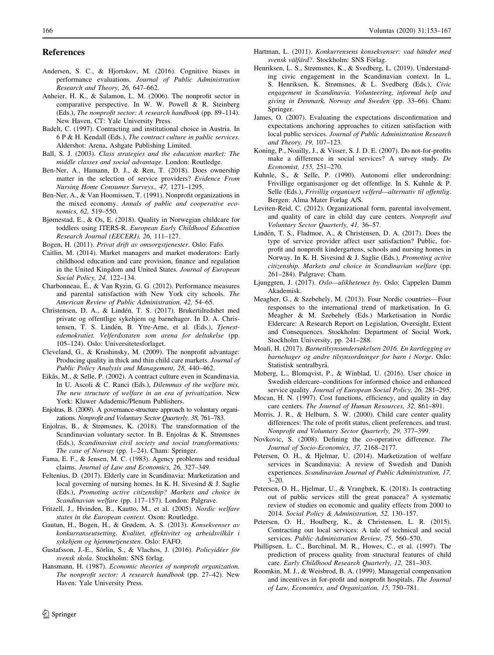#### <span id="page-13-0"></span>References

- Andersen, S. C., & Hjortskov, M. (2016). Cognitive biases in performance evaluations. Journal of Public Administration Research and Theory, 26, 647–662.
- Anheier, H. K., & Salamon, L. M. (2006). The nonprofit sector in comparative perspective. In W. W. Powell & R. Steinberg (Eds.), The nonprofit sector: A research handbook (pp. 89–114). New Haven, CT: Yale University Press.
- Badelt, C. (1997). Contracting and institutional choice in Austria. In 6 P & H. Kendall (Eds.), The contract culture in public services. Aldershot: Arena, Ashgate Publishing Limited.
- Ball, S. J. (2003). Class strategies and the education market: The middle classes and social advantage. London: Routledge.
- Ben-Ner, A., Hamann, D. J., & Ren, T. (2018). Does ownership matter in the selection of service providers? Evidence From Nursing Home Consumer Surveys., 47, 1271–1295.
- Ben-Ner, A., & Van Hoomissen, T. (1991). Nonprofit organizations in the mixed economy. Annals of public and cooperative economics, 62, 519–550.
- Bjørnestad, E., & Os, E. (2018). Quality in Norwegian childcare for toddlers using ITERS-R. European Early Childhood Education Research Journal (EECERJ), 26, 111–127.
- Bogen, H. (2011). Privat drift av omsorgstjenester. Oslo: Fafo.
- Caitlin, M. (2014). Market managers and market moderators: Early childhood education and care provision, finance and regulation in the United Kingdom and United States. Journal of European Social Policy, 24, 122–134.
- Charbonneau, E´., & Van Ryzin, G. G. (2012). Performance measures and parental satisfaction with New York city schools. The American Review of Public Administration, 42, 54–65.
- Christensen, D. A., & Lindén, T. S. (2017). Brukertilredshet med private og offentlige sykehjem og barnehager. In D. A. Christensen, T. S. Lindén, B. Ytre-Arne, et al. (Eds.), Tjenestedemokratiet. Velferdsstaten som arena for deltakelse (pp. 105–124). Oslo: Universitetesforlaget.
- Cleveland, G., & Krashinsky, M. (2009). The nonprofit advantage: Producing quality in thick and thin child care markets. Journal of Public Policy Analysis and Management, 28, 440–462.
- Eikås, M., & Selle, P. (2002). A contract culture even in Scandinavia. In U. Ascoli & C. Ranci (Eds.), Dilemmas of the welfare mix. The new structure of welfare in an era of privatization. New York: Kluwer Adademic/Plenum Publishers.
- Enjolras, B. (2009). A governance-structure approach to voluntary organizations. Nonprofit and Voluntary Sector Quarterly, 38, 761–783.
- Enjolras, B., & Strømsnes, K. (2018). The transformation of the Scandinavian voluntary sector. In B. Enjolras & K. Strømsnes (Eds.), Scandinavian civil society and social transformations: The case of Norway (pp. 1–24). Cham: Springer.
- Fama, E. F., & Jensen, M. C. (1983). Agency problems and residual claims. Journal of Law and Economics, 26, 327–349.
- Feltenius, D. (2017). Elderly care in Scandinavia: Marketization and local governing of nursing homes. In K. H. Sivesind & J. Saglie (Eds.), Promoting active citizenship? Markets and choice in Scandinavian welfare (pp. 117–157). London: Palgrave.
- Fritzell, J., Hvinden, B., Kautto, M., et al. (2005). Nordic welfare states in the European context. Oxon: Routledge.
- Gautun, H., Bogen, H., & Grødem, A. S. (2013). Konsekvenser av konkurranseutsetting. Kvalitet, effektivitet og arbeidsvilkår i sykehjem og hjemmetjenesten. Oslo: FAFO.
- Gustafsson, J.-E., Sörlin, S., & Vlachos, J. (2016). Policyidéer för svensk skola. Stockholm: SNS förlag.
- Hansmann, H. (1987). Economic theories of nonprofit organization. The nonprofit sector: A research handbook (pp. 27–42). New Haven: Yale University Press.
- Hartman, L. (2011). Konkurrensens konsekvenser: vad händer med svensk välfärd?. Stockholm: SNS Förlag.
- Henriksen, L. S., Strømsnes, K., & Svedberg, L. (2019). Understanding civic engagement in the Scandinavian context. In L. S. Henriksen, K. Strømsnes, & L. Svedberg (Eds.), Civic engagement in Scandinavia. Volunteering, informal help and giving in Denmark, Norway and Sweden (pp. 33–66). Cham: Springer.
- James, O. (2007). Evaluating the expectations disconfirmation and expectations anchoring approaches to citizen satisfaction with local public services. Journal of Public Administration Research and Theory, 19, 107–123.
- Koning, P., Noailly, J., & Visser, S. J. D. E. (2007). Do not-for-profits make a difference in social services? A survey study. De Economist, 155, 251–270.
- Kuhnle, S., & Selle, P. (1990). Autonomi eller underordning: Frivillige organisasjoner og det offentlige. In S. Kuhnle & P. Selle (Eds.), Frivillig organisert velferd—alternativ til offentlig. Bergen: Alma Mater Forlag A/S.
- Leviten-Reid, C. (2012). Organizational form, parental involvement, and quality of care in child day care centers. Nonprofit and Voluntary Sector Quarterly, 41, 36–57.
- Lindén, T. S., Fladmoe, A., & Christensen, D. A. (2017). Does the type of service provider affect user satisfaction? Public, forprofit and nonprofit kindergartens, schools and nursing homes in Norway. In K. H. Sivesind & J. Saglie (Eds.), Promoting active citizenship. Markets and choice in Scandinavian welfare (pp. 261–284). Palgrave: Cham.
- Ljunggren, J. (2017). Oslo—ulikhetenes by. Oslo: Cappelen Damm Akademisk.
- Meagher, G., & Szebehely, M. (2013). Four Nordic countries—Four responses to the international trend of marketisation. In G. Meagher & M. Szebehely (Eds.) Marketisation in Nordic Eldercare: A Research Report on Legislation, Oversight, Extent and Consequences. Stockholm: Department of Social Work, Stockholm University, pp. 241–288.
- Moafi, H. (2017). Barnetilsynsundersøkelsen 2016. En kartlegging av barnehager og andre tilsynsordninger for barn i Norge. Oslo: Statistisk sentralbyrå.
- Moberg, L., Blomqvist, P., & Winblad, U. (2016). User choice in Swedish eldercare–conditions for informed choice and enhanced service quality. Journal of European Social Policy, 26, 281–295.
- Mocan, H. N. (1997). Cost functions, efficiency, and quality in day care centers. The Journal of Human Resources, 32, 861–891.
- Morris, J. R., & Helburn, S. W. (2000). Child care center quality differences: The role of profit status, client preferences, and trust. Nonprofit and Voluntary Sector Quarterly, 29, 377–399.
- Novkovic, S. (2008). Defining the co-operative difference. The Journal of Socio-Economics, 37, 2168–2177.
- Petersen, O. H., & Hjelmar, U. (2014). Marketization of welfare services in Scandinavia: A review of Swedish and Danish experiences. Scandinavian Journal of Public Administration, 17, 3–20.
- Petersen, O. H., Hjelmar, U., & Vrangbæk, K. (2018). Is contracting out of public services still the great panacea? A systematic review of studies on economic and quality effects from 2000 to 2014. Social Policy & Administration, 52, 130–157.
- Petersen, O. H., Houlberg, K., & Christensen, L. R. (2015). Contracting out local services: A tale of technical and social services. Public Administration Review, 75, 560–570.
- Phillipsen, L. C., Burchinal, M. R., Howes, C., et al. (1997). The prediction of process quality from structural features of child care. Early Childhood Research Quarterly, 12, 281–303.
- Roomkin, M. J., & Weisbrod, B. A. (1999). Managerial compensation and incentives in for-profit and nonprofit hospitals. The Journal of Law, Economics, and Organization, 15, 750–781.